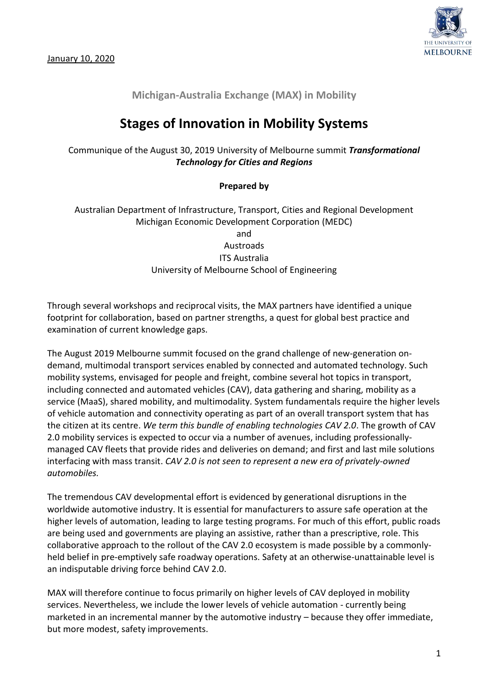

## **Michigan-Australia Exchange (MAX) in Mobility**

## **Stages of Innovation in Mobility Systems**

Communique of the August 30, 2019 University of Melbourne summit *Transformational Technology for Cities and Regions*

## **Prepared by**

Australian Department of Infrastructure, Transport, Cities and Regional Development Michigan Economic Development Corporation (MEDC) and Austroads ITS Australia University of Melbourne School of Engineering

Through several workshops and reciprocal visits, the MAX partners have identified a unique footprint for collaboration, based on partner strengths, a quest for global best practice and examination of current knowledge gaps.

The August 2019 Melbourne summit focused on the grand challenge of new-generation ondemand, multimodal transport services enabled by connected and automated technology. Such mobility systems, envisaged for people and freight, combine several hot topics in transport, including connected and automated vehicles (CAV), data gathering and sharing, mobility as a service (MaaS), shared mobility, and multimodality. System fundamentals require the higher levels of vehicle automation and connectivity operating as part of an overall transport system that has the citizen at its centre. *We term this bundle of enabling technologies CAV 2.0*. The growth of CAV 2.0 mobility services is expected to occur via a number of avenues, including professionallymanaged CAV fleets that provide rides and deliveries on demand; and first and last mile solutions interfacing with mass transit. *CAV 2.0 is not seen to represent a new era of privately-owned automobiles.*

The tremendous CAV developmental effort is evidenced by generational disruptions in the worldwide automotive industry. It is essential for manufacturers to assure safe operation at the higher levels of automation, leading to large testing programs. For much of this effort, public roads are being used and governments are playing an assistive, rather than a prescriptive, role. This collaborative approach to the rollout of the CAV 2.0 ecosystem is made possible by a commonlyheld belief in pre-emptively safe roadway operations. Safety at an otherwise-unattainable level is an indisputable driving force behind CAV 2.0.

MAX will therefore continue to focus primarily on higher levels of CAV deployed in mobility services. Nevertheless, we include the lower levels of vehicle automation - currently being marketed in an incremental manner by the automotive industry – because they offer immediate, but more modest, safety improvements.